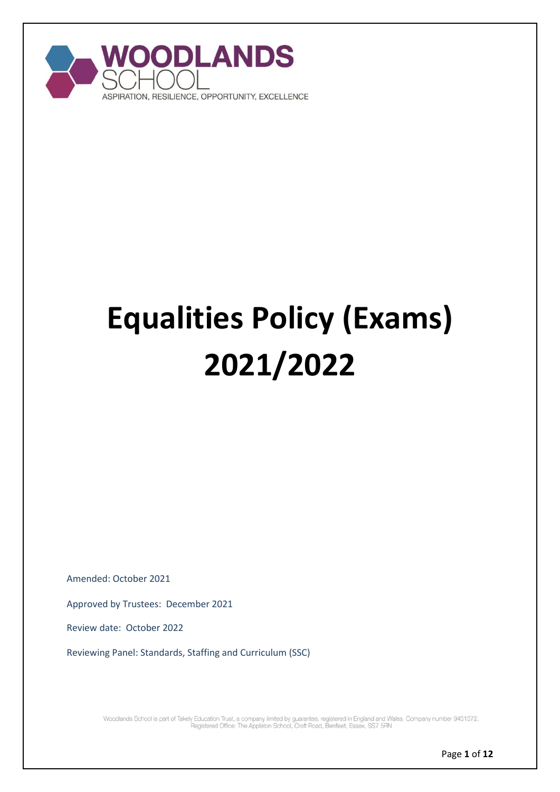

# **Equalities Policy (Exams) 2021/2022**

Amended: October 2021

Approved by Trustees: December 2021

Review date: October 2022

Reviewing Panel: Standards, Staffing and Curriculum (SSC)

Woodlands School is part of Takely Education Trust, a company limited by guarantee, registered in England and Wales. Company number 9451372.<br>Pegistered Office: The Appleton School, Croft Road, Benfleet, Essex, SS7 5RN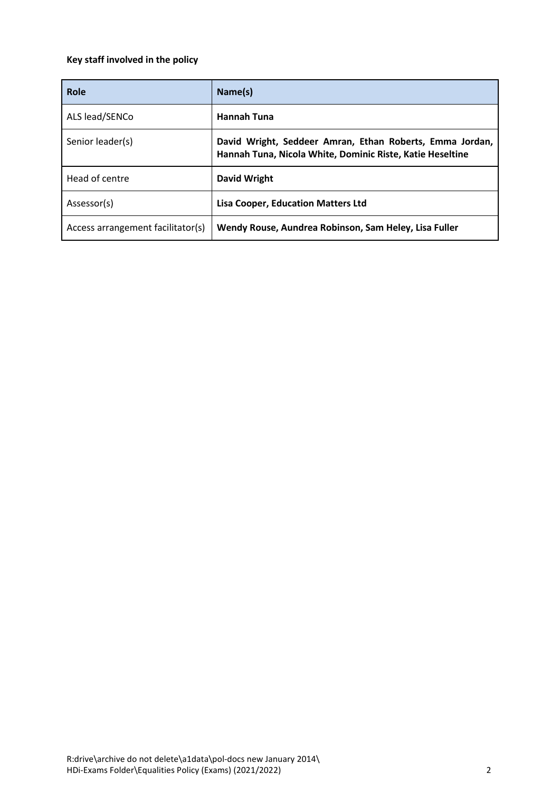# **Key staff involved in the policy**

| Role                              | Name(s)                                                                                                               |
|-----------------------------------|-----------------------------------------------------------------------------------------------------------------------|
| ALS lead/SENCo                    | <b>Hannah Tuna</b>                                                                                                    |
| Senior leader(s)                  | David Wright, Seddeer Amran, Ethan Roberts, Emma Jordan,<br>Hannah Tuna, Nicola White, Dominic Riste, Katie Heseltine |
| Head of centre                    | <b>David Wright</b>                                                                                                   |
| Assessor(s)                       | <b>Lisa Cooper, Education Matters Ltd</b>                                                                             |
| Access arrangement facilitator(s) | Wendy Rouse, Aundrea Robinson, Sam Heley, Lisa Fuller                                                                 |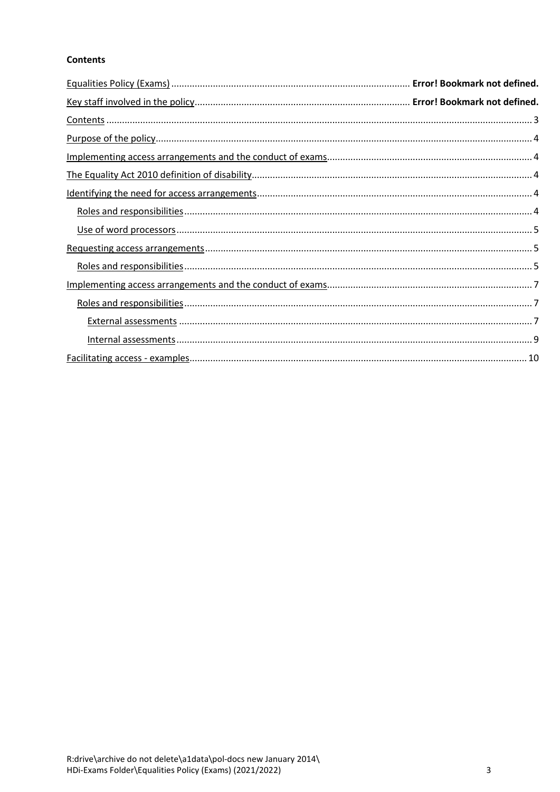# <span id="page-2-0"></span>**Contents**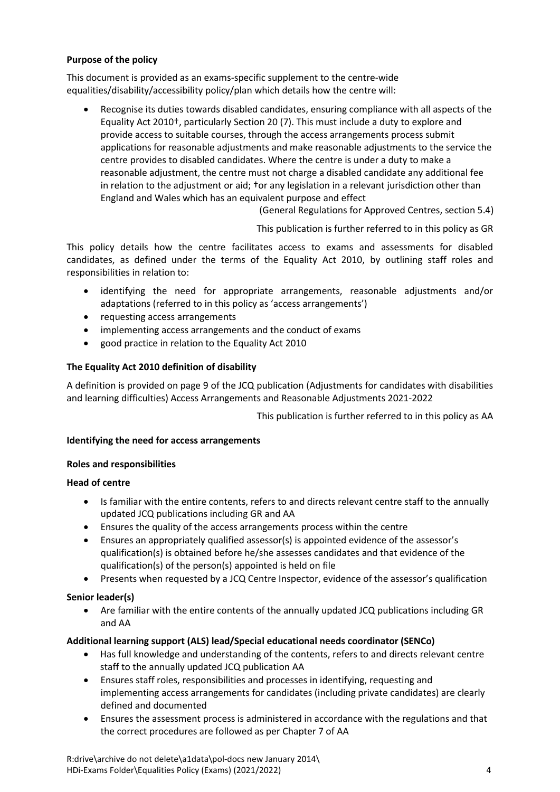# <span id="page-3-0"></span>**Purpose of the policy**

This document is provided as an exams-specific supplement to the centre-wide equalities/disability/accessibility policy/plan which details how the centre will:

 Recognise its duties towards disabled candidates, ensuring compliance with all aspects of the Equality Act 2010†, particularly Section 20 (7). This must include a duty to explore and provide access to suitable courses, through the access arrangements process submit applications for reasonable adjustments and make reasonable adjustments to the service the centre provides to disabled candidates. Where the centre is under a duty to make a reasonable adjustment, the centre must not charge a disabled candidate any additional fee in relation to the adjustment or aid; †or any legislation in a relevant jurisdiction other than England and Wales which has an equivalent purpose and effect

(General Regulations for Approved Centres, section 5.4)

This publication is further referred to in this policy a[s GR](http://www.jcq.org.uk/exams-office/general-regulations)

This policy details how the centre facilitates access to exams and assessments for disabled candidates, as defined under the terms of the Equality Act 2010, by outlining staff roles and responsibilities in relation to:

- identifying the need for appropriate arrangements, reasonable adjustments and/or adaptations (referred to in this policy as 'access arrangements')
- requesting access arrangements
- implementing access arrangements and the conduct of exams
- good practice in relation to the Equality Act 2010

# <span id="page-3-1"></span>**The Equality Act 2010 definition of disability**

A definition is provided on page 9 of the JCQ publication (Adjustments for candidates with disabilities and learning difficulties) Access Arrangements and Reasonable Adjustments 2021-2022

This publication is further referred to in this policy a[s AA](http://www.jcq.org.uk/exams-office/access-arrangements-and-special-consideration/regulations-and-guidance)

#### <span id="page-3-2"></span>**Identifying the need for access arrangements**

#### <span id="page-3-3"></span>**Roles and responsibilities**

#### **Head of centre**

- Is familiar with the entire contents, refers to and directs relevant centre staff to the annually updated JCQ publications including [GR](http://www.jcq.org.uk/exams-office/general-regulations) and [AA](http://www.jcq.org.uk/exams-office/access-arrangements-and-special-consideration/regulations-and-guidance)
- Ensures the quality of the access arrangements process within the centre
- Ensures an appropriately qualified assessor(s) is appointed evidence of the assessor's qualification(s) is obtained before he/she assesses candidates and that evidence of the qualification(s) of the person(s) appointed is held on file
- Presents when requested by a JCQ Centre Inspector, evidence of the assessor's qualification

#### **Senior leader(s)**

 Are familiar with the entire contents of the annually updated JCQ publications including [GR](http://www.jcq.org.uk/exams-office/general-regulations) and [AA](http://www.jcq.org.uk/exams-office/access-arrangements-and-special-consideration/regulations-and-guidance)

#### **Additional learning support (ALS) lead/Special educational needs coordinator (SENCo)**

- Has full knowledge and understanding of the contents, refers to and directs relevant centre staff to the annually updated JCQ publicatio[n AA](http://www.jcq.org.uk/exams-office/access-arrangements-and-special-consideration/regulations-and-guidance)
- Ensures staff roles, responsibilities and processes in identifying, requesting and implementing access arrangements for candidates (including private candidates) are clearly defined and documented
- Ensures the assessment process is administered in accordance with the regulations and that the correct procedures are followed as per Chapter 7 of AA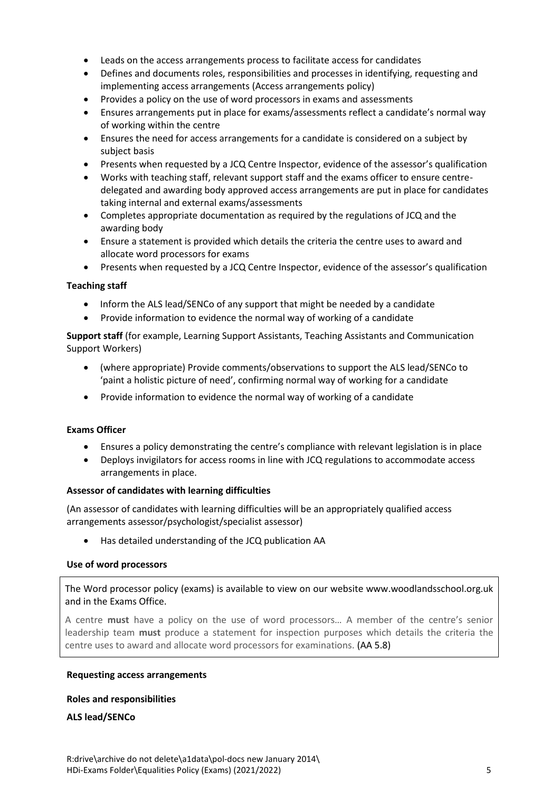- Leads on the access arrangements process to facilitate access for candidates
- Defines and documents roles, responsibilities and processes in identifying, requesting and implementing access arrangements (Access arrangements policy)
- Provides a policy on the use of word processors in exams and assessments
- Ensures arrangements put in place for exams/assessments reflect a candidate's normal way of working within the centre
- Ensures the need for access arrangements for a candidate is considered on a subject by subject basis
- Presents when requested by a JCQ Centre Inspector, evidence of the assessor's qualification
- Works with teaching staff, relevant support staff and the exams officer to ensure centredelegated and awarding body approved access arrangements are put in place for candidates taking internal and external exams/assessments
- Completes appropriate documentation as required by the regulations of JCQ and the awarding body
- Ensure a statement is provided which details the criteria the centre uses to award and allocate word processors for exams
- Presents when requested by a JCQ Centre Inspector, evidence of the assessor's qualification

#### **Teaching staff**

- Inform the ALS lead/SENCo of any support that might be needed by a candidate
- Provide information to evidence the normal way of working of a candidate

**Support staff** (for example, Learning Support Assistants, Teaching Assistants and Communication Support Workers)

- (where appropriate) Provide comments/observations to support the ALS lead/SENCo to 'paint a holistic picture of need', confirming normal way of working for a candidate
- Provide information to evidence the normal way of working of a candidate

#### **Exams Officer**

- Ensures a policy demonstrating the centre's compliance with relevant legislation is in place
- Deploys invigilators for access rooms in line with JCQ regulations to accommodate access arrangements in place.

#### **Assessor of candidates with learning difficulties**

(An assessor of candidates with learning difficulties will be an appropriately qualified access arrangements assessor/psychologist/specialist assessor)

Has detailed understanding of the JCQ publication [AA](http://www.jcq.org.uk/exams-office/access-arrangements-and-special-consideration/regulations-and-guidance)

#### <span id="page-4-0"></span>**Use of word processors**

The Word processor policy (exams) is available to view on our website www.woodlandsschool.org.uk and in the Exams Office.

A centre **must** have a policy on the use of word processors… A member of the centre's senior leadership team **must** produce a statement for inspection purposes which details the criteria the centre uses to award and allocate word processors for examinations. [\(AA](http://www.jcq.org.uk/exams-office/access-arrangements-and-special-consideration/regulations-and-guidance) 5.8)

#### <span id="page-4-1"></span>**Requesting access arrangements**

#### <span id="page-4-2"></span>**Roles and responsibilities**

**ALS lead/SENCo**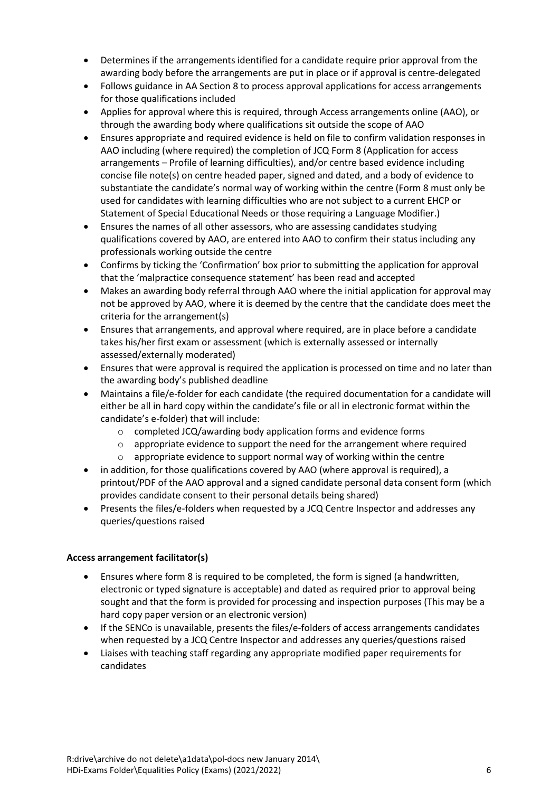- Determines if the arrangements identified for a candidate require prior approval from the awarding body before the arrangements are put in place or if approval is centre-delegated
- Follows guidance in AA Section 8 to process approval applications for access arrangements for those qualifications included
- Applies for approval where this is required, through Access arrangements online (AAO), or through the awarding body where qualifications sit outside the scope of AAO
- Ensures appropriate and required evidence is held on file to confirm validation responses in AAO including (where required) the completion of JCQ Form 8 (Application for access arrangements – Profile of learning difficulties), and/or centre based evidence including concise file note(s) on centre headed paper, signed and dated, and a body of evidence to substantiate the candidate's normal way of working within the centre (Form 8 must only be used for candidates with learning difficulties who are not subject to a current EHCP or Statement of Special Educational Needs or those requiring a Language Modifier.)
- Ensures the names of all other assessors, who are assessing candidates studying qualifications covered by AAO, are entered into AAO to confirm their status including any professionals working outside the centre
- Confirms by ticking the 'Confirmation' box prior to submitting the application for approval that the 'malpractice consequence statement' has been read and accepted
- Makes an awarding body referral through AAO where the initial application for approval may not be approved by AAO, where it is deemed by the centre that the candidate does meet the criteria for the arrangement(s)
- Ensures that arrangements, and approval where required, are in place before a candidate takes his/her first exam or assessment (which is externally assessed or internally assessed/externally moderated)
- Ensures that were approval is required the application is processed on time and no later than the awarding body's published deadline
- Maintains a file/e-folder for each candidate (the required documentation for a candidate will either be all in hard copy within the candidate's file or all in electronic format within the candidate's e-folder) that will include:
	- o completed JCQ/awarding body application forms and evidence forms
	- o appropriate evidence to support the need for the arrangement where required
	- o appropriate evidence to support normal way of working within the centre
- in addition, for those qualifications covered by AAO (where approval is required), a printout/PDF of the AAO approval and a signed candidate personal data consent form (which provides candidate consent to their personal details being shared)
- Presents the files/e-folders when requested by a JCQ Centre Inspector and addresses any queries/questions raised

# **Access arrangement facilitator(s)**

- Ensures where form 8 is required to be completed, the form is signed (a handwritten, electronic or typed signature is acceptable) and dated as required prior to approval being sought and that the form is provided for processing and inspection purposes (This may be a hard copy paper version or an electronic version)
- If the SENCo is unavailable, presents the files/e-folders of access arrangements candidates when requested by a JCQ Centre Inspector and addresses any queries/questions raised
- Liaises with teaching staff regarding any appropriate modified paper requirements for candidates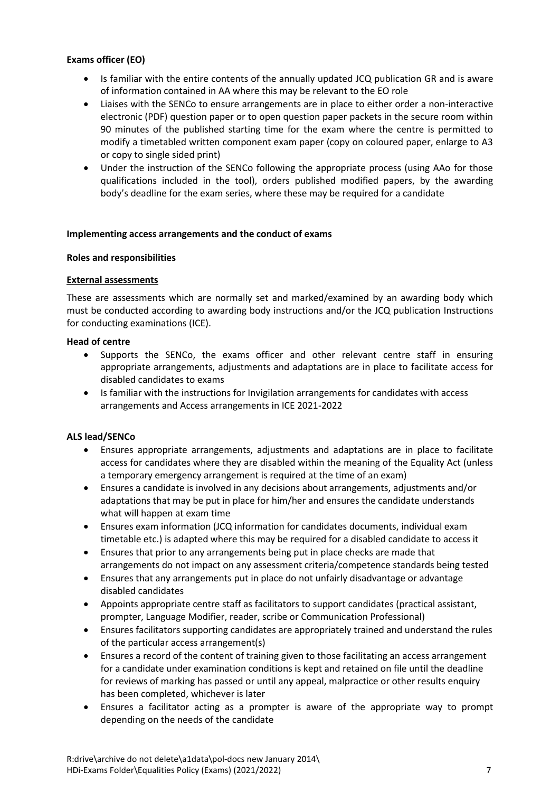# **Exams officer (EO)**

- Is familiar with the entire contents of the annually updated JCQ publication [GR](http://www.jcq.org.uk/exams-office/general-regulations) and is aware of information contained in [AA](http://www.jcq.org.uk/exams-office/access-arrangements-and-special-consideration/regulations-and-guidance) where this may be relevant to the EO role
- Liaises with the SENCo to ensure arrangements are in place to either order a non-interactive electronic (PDF) question paper or to open question paper packets in the secure room within 90 minutes of the published starting time for the exam where the centre is permitted to modify a timetabled written component exam paper (copy on coloured paper, enlarge to A3 or copy to single sided print)
- Under the instruction of the SENCo following the appropriate process (using AAo for those qualifications included in the tool), orders published modified papers, by the awarding body's deadline for the exam series, where these may be required for a candidate

#### <span id="page-6-0"></span>**Implementing access arrangements and the conduct of exams**

#### <span id="page-6-1"></span>**Roles and responsibilities**

#### <span id="page-6-2"></span>**External assessments**

These are assessments which are normally set and marked/examined by an awarding body which must be conducted according to awarding body instructions and/or the JCQ publication [Instructions](http://www.jcq.org.uk/exams-office/ice---instructions-for-conducting-examinations)  [for conducting examinations](http://www.jcq.org.uk/exams-office/ice---instructions-for-conducting-examinations) (ICE).

#### **Head of centre**

- Supports the SENCo, the exams officer and other relevant centre staff in ensuring appropriate arrangements, adjustments and adaptations are in place to facilitate access for disabled candidates to exams
- Is familiar with the instructions for Invigilation arrangements for candidates with access arrangements and Access arrangements in ICE 2021-2022

# **ALS lead/SENCo**

- Ensures appropriate arrangements, adjustments and adaptations are in place to facilitate access for candidates where they are disabled within the meaning of the Equality Act (unless a temporary emergency arrangement is required at the time of an exam)
- Ensures a candidate is involved in any decisions about arrangements, adjustments and/or adaptations that may be put in place for him/her and ensures the candidate understands what will happen at exam time
- Ensures exam information (JCQ information for candidates documents, individual exam timetable etc.) is adapted where this may be required for a disabled candidate to access it
- Ensures that prior to any arrangements being put in place checks are made that arrangements do not impact on any assessment criteria/competence standards being tested
- Ensures that any arrangements put in place do not unfairly disadvantage or advantage disabled candidates
- Appoints appropriate centre staff as facilitators to support candidates (practical assistant, prompter, Language Modifier, reader, scribe or Communication Professional)
- Ensures facilitators supporting candidates are appropriately trained and understand the rules of the particular access arrangement(s)
- Ensures a record of the content of training given to those facilitating an access arrangement for a candidate under examination conditions is kept and retained on file until the deadline for reviews of marking has passed or until any appeal, malpractice or other results enquiry has been completed, whichever is later
- Ensures a facilitator acting as a prompter is aware of the appropriate way to prompt depending on the needs of the candidate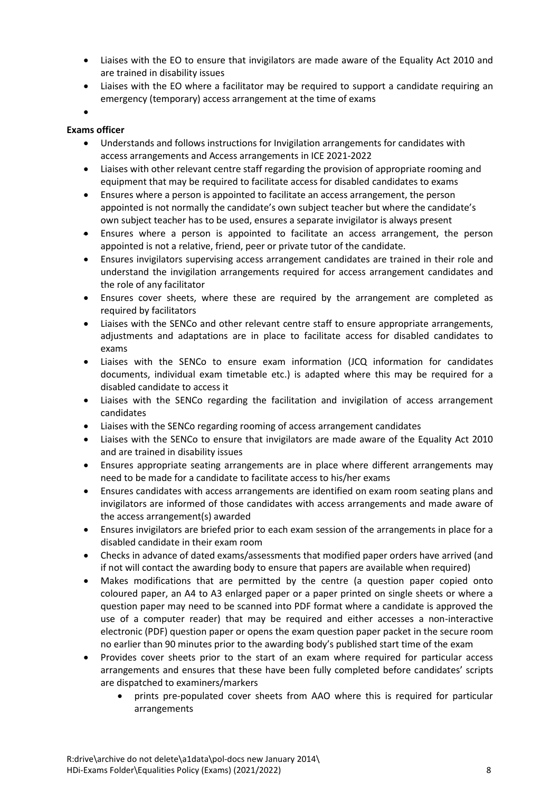- Liaises with the EO to ensure that invigilators are made aware of the Equality Act 2010 and are trained in disability issues
- Liaises with the EO where a facilitator may be required to support a candidate requiring an emergency (temporary) access arrangement at the time of exams
- $\bullet$

# **Exams officer**

- Understands and follows instructions for Invigilation arrangements for candidates with access arrangements and Access arrangements i[n ICE](http://www.jcq.org.uk/exams-office/ice---instructions-for-conducting-examinations) 2021-2022
- Liaises with other relevant centre staff regarding the provision of appropriate rooming and equipment that may be required to facilitate access for disabled candidates to exams
- Ensures where a person is appointed to facilitate an access arrangement, the person appointed is not normally the candidate's own subject teacher but where the candidate's own subject teacher has to be used, ensures a separate invigilator is always present
- Ensures where a person is appointed to facilitate an access arrangement, the person appointed is not a relative, friend, peer or private tutor of the candidate.
- Ensures invigilators supervising access arrangement candidates are trained in their role and understand the invigilation arrangements required for access arrangement candidates and the role of any facilitator
- Ensures cover sheets, where these are required by the arrangement are completed as required by facilitators
- Liaises with the SENCo and other relevant centre staff to ensure appropriate arrangements, adjustments and adaptations are in place to facilitate access for disabled candidates to exams
- Liaises with the SENCo to ensure exam information (JCQ information for candidates documents, individual exam timetable etc.) is adapted where this may be required for a disabled candidate to access it
- Liaises with the SENCo regarding the facilitation and invigilation of access arrangement candidates
- Liaises with the SENCo regarding rooming of access arrangement candidates
- Liaises with the SENCo to ensure that invigilators are made aware of the Equality Act 2010 and are trained in disability issues
- Ensures appropriate seating arrangements are in place where different arrangements may need to be made for a candidate to facilitate access to his/her exams
- Ensures candidates with access arrangements are identified on exam room seating plans and invigilators are informed of those candidates with access arrangements and made aware of the access arrangement(s) awarded
- Ensures invigilators are briefed prior to each exam session of the arrangements in place for a disabled candidate in their exam room
- Checks in advance of dated exams/assessments that modified paper orders have arrived (and if not will contact the awarding body to ensure that papers are available when required)
- Makes modifications that are permitted by the centre (a question paper copied onto coloured paper, an A4 to A3 enlarged paper or a paper printed on single sheets or where a question paper may need to be scanned into PDF format where a candidate is approved the use of a computer reader) that may be required and either accesses a non-interactive electronic (PDF) question paper or opens the exam question paper packet in the secure room no earlier than 90 minutes prior to the awarding body's published start time of the exam
- Provides cover sheets prior to the start of an exam where required for particular access arrangements and ensures that these have been fully completed before candidates' scripts are dispatched to examiners/markers
	- prints pre-populated cover sheets from AAO where this is required for particular arrangements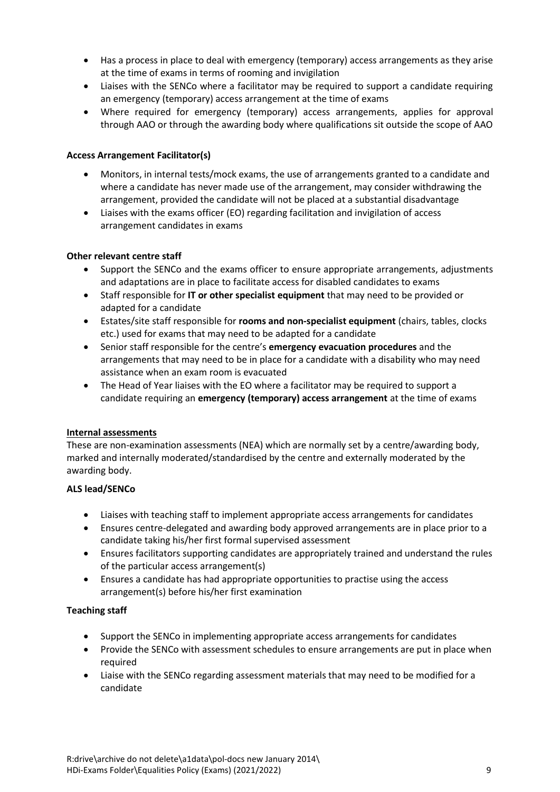- Has a process in place to deal with emergency (temporary) access arrangements as they arise at the time of exams in terms of rooming and invigilation
- Liaises with the SENCo where a facilitator may be required to support a candidate requiring an emergency (temporary) access arrangement at the time of exams
- Where required for emergency (temporary) access arrangements, applies for approval through AAO or through the awarding body where qualifications sit outside the scope of AAO

# **Access Arrangement Facilitator(s)**

- Monitors, in internal tests/mock exams, the use of arrangements granted to a candidate and where a candidate has never made use of the arrangement, may consider withdrawing the arrangement, provided the candidate will not be placed at a substantial disadvantage
- Liaises with the exams officer (EO) regarding facilitation and invigilation of access arrangement candidates in exams

#### **Other relevant centre staff**

- Support the SENCo and the exams officer to ensure appropriate arrangements, adjustments and adaptations are in place to facilitate access for disabled candidates to exams
- Staff responsible for **IT or other specialist equipment** that may need to be provided or adapted for a candidate
- Estates/site staff responsible for **rooms and non-specialist equipment** (chairs, tables, clocks etc.) used for exams that may need to be adapted for a candidate
- Senior staff responsible for the centre's **emergency evacuation procedures** and the arrangements that may need to be in place for a candidate with a disability who may need assistance when an exam room is evacuated
- The Head of Year liaises with the EO where a facilitator may be required to support a candidate requiring an **emergency (temporary) access arrangement** at the time of exams

#### <span id="page-8-0"></span>**Internal assessments**

These are non-examination assessments (NEA) which are normally set by a centre/awarding body, marked and internally moderated/standardised by the centre and externally moderated by the awarding body.

#### **ALS lead/SENCo**

- Liaises with teaching staff to implement appropriate access arrangements for candidates
- Ensures centre-delegated and awarding body approved arrangements are in place prior to a candidate taking his/her first formal supervised assessment
- Ensures facilitators supporting candidates are appropriately trained and understand the rules of the particular access arrangement(s)
- Ensures a candidate has had appropriate opportunities to practise using the access arrangement(s) before his/her first examination

#### **Teaching staff**

- Support the SENCo in implementing appropriate access arrangements for candidates
- Provide the SENCo with assessment schedules to ensure arrangements are put in place when required
- Liaise with the SENCo regarding assessment materials that may need to be modified for a candidate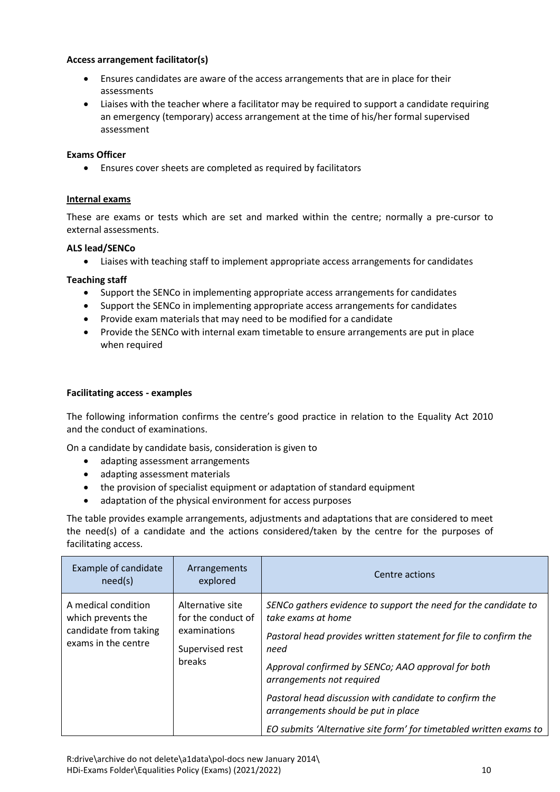# **Access arrangement facilitator(s)**

- Ensures candidates are aware of the access arrangements that are in place for their assessments
- Liaises with the teacher where a facilitator may be required to support a candidate requiring an emergency (temporary) access arrangement at the time of his/her formal supervised assessment

#### **Exams Officer**

Ensures cover sheets are completed as required by facilitators

#### **Internal exams**

These are exams or tests which are set and marked within the centre; normally a pre-cursor to external assessments.

#### **ALS lead/SENCo**

Liaises with teaching staff to implement appropriate access arrangements for candidates

#### **Teaching staff**

- Support the SENCo in implementing appropriate access arrangements for candidates
- Support the SENCo in implementing appropriate access arrangements for candidates
- Provide exam materials that may need to be modified for a candidate
- <span id="page-9-0"></span> Provide the SENCo with internal exam timetable to ensure arrangements are put in place when required

#### **Facilitating access - examples**

The following information confirms the centre's good practice in relation to the Equality Act 2010 and the conduct of examinations.

On a candidate by candidate basis, consideration is given to

- adapting assessment arrangements
- adapting assessment materials
- the provision of specialist equipment or adaptation of standard equipment
- adaptation of the physical environment for access purposes

The table provides example arrangements, adjustments and adaptations that are considered to meet the need(s) of a candidate and the actions considered/taken by the centre for the purposes of facilitating access.

| Example of candidate<br>need(s)                                                           | Arrangements<br>explored                                                            | Centre actions                                                                                                                                                                                                                                                                                                                                                                                                              |
|-------------------------------------------------------------------------------------------|-------------------------------------------------------------------------------------|-----------------------------------------------------------------------------------------------------------------------------------------------------------------------------------------------------------------------------------------------------------------------------------------------------------------------------------------------------------------------------------------------------------------------------|
| A medical condition<br>which prevents the<br>candidate from taking<br>exams in the centre | Alternative site<br>for the conduct of<br>examinations<br>Supervised rest<br>breaks | SENCo gathers evidence to support the need for the candidate to<br>take exams at home<br>Pastoral head provides written statement for file to confirm the<br>need<br>Approval confirmed by SENCo; AAO approval for both<br>arrangements not required<br>Pastoral head discussion with candidate to confirm the<br>arrangements should be put in place<br>EO submits 'Alternative site form' for timetabled written exams to |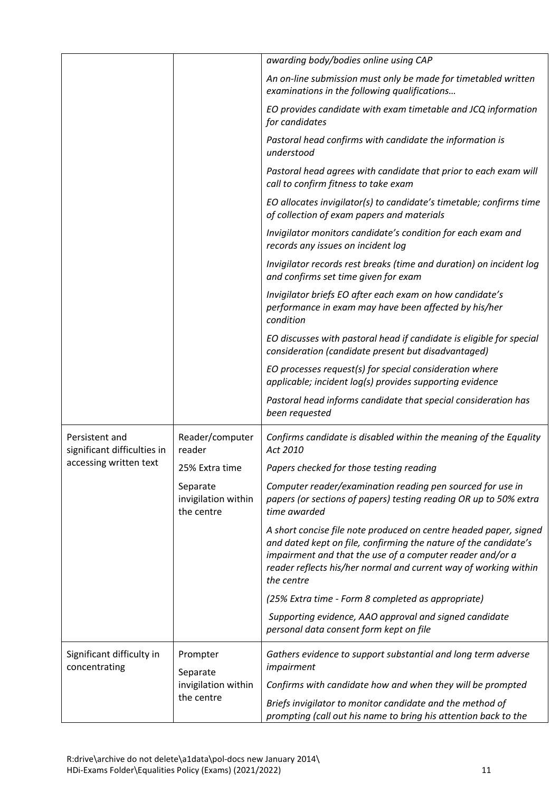|                                               |                                               | awarding body/bodies online using CAP                                                                                                                                                                                                                                                |
|-----------------------------------------------|-----------------------------------------------|--------------------------------------------------------------------------------------------------------------------------------------------------------------------------------------------------------------------------------------------------------------------------------------|
|                                               |                                               | An on-line submission must only be made for timetabled written<br>examinations in the following qualifications                                                                                                                                                                       |
|                                               |                                               | EO provides candidate with exam timetable and JCQ information<br>for candidates                                                                                                                                                                                                      |
|                                               |                                               | Pastoral head confirms with candidate the information is<br>understood                                                                                                                                                                                                               |
|                                               |                                               | Pastoral head agrees with candidate that prior to each exam will<br>call to confirm fitness to take exam                                                                                                                                                                             |
|                                               |                                               | EO allocates invigilator(s) to candidate's timetable; confirms time<br>of collection of exam papers and materials                                                                                                                                                                    |
|                                               |                                               | Invigilator monitors candidate's condition for each exam and<br>records any issues on incident log                                                                                                                                                                                   |
|                                               |                                               | Invigilator records rest breaks (time and duration) on incident log<br>and confirms set time given for exam                                                                                                                                                                          |
|                                               |                                               | Invigilator briefs EO after each exam on how candidate's<br>performance in exam may have been affected by his/her<br>condition                                                                                                                                                       |
|                                               |                                               | EO discusses with pastoral head if candidate is eligible for special<br>consideration (candidate present but disadvantaged)                                                                                                                                                          |
|                                               |                                               | EO processes request(s) for special consideration where<br>applicable; incident log(s) provides supporting evidence                                                                                                                                                                  |
|                                               |                                               | Pastoral head informs candidate that special consideration has<br>been requested                                                                                                                                                                                                     |
| Persistent and<br>significant difficulties in | Reader/computer<br>reader                     | Confirms candidate is disabled within the meaning of the Equality<br>Act 2010                                                                                                                                                                                                        |
| accessing written text                        | 25% Extra time                                | Papers checked for those testing reading                                                                                                                                                                                                                                             |
|                                               | Separate<br>invigilation within<br>the centre | Computer reader/examination reading pen sourced for use in<br>papers (or sections of papers) testing reading OR up to 50% extra<br>time awarded                                                                                                                                      |
|                                               |                                               | A short concise file note produced on centre headed paper, signed<br>and dated kept on file, confirming the nature of the candidate's<br>impairment and that the use of a computer reader and/or a<br>reader reflects his/her normal and current way of working within<br>the centre |
|                                               |                                               | (25% Extra time - Form 8 completed as appropriate)                                                                                                                                                                                                                                   |
|                                               |                                               | Supporting evidence, AAO approval and signed candidate<br>personal data consent form kept on file                                                                                                                                                                                    |
| Significant difficulty in<br>concentrating    | Prompter<br>Separate<br>invigilation within   | Gathers evidence to support substantial and long term adverse<br>impairment                                                                                                                                                                                                          |
|                                               |                                               | Confirms with candidate how and when they will be prompted                                                                                                                                                                                                                           |
|                                               | the centre                                    | Briefs invigilator to monitor candidate and the method of<br>prompting (call out his name to bring his attention back to the                                                                                                                                                         |